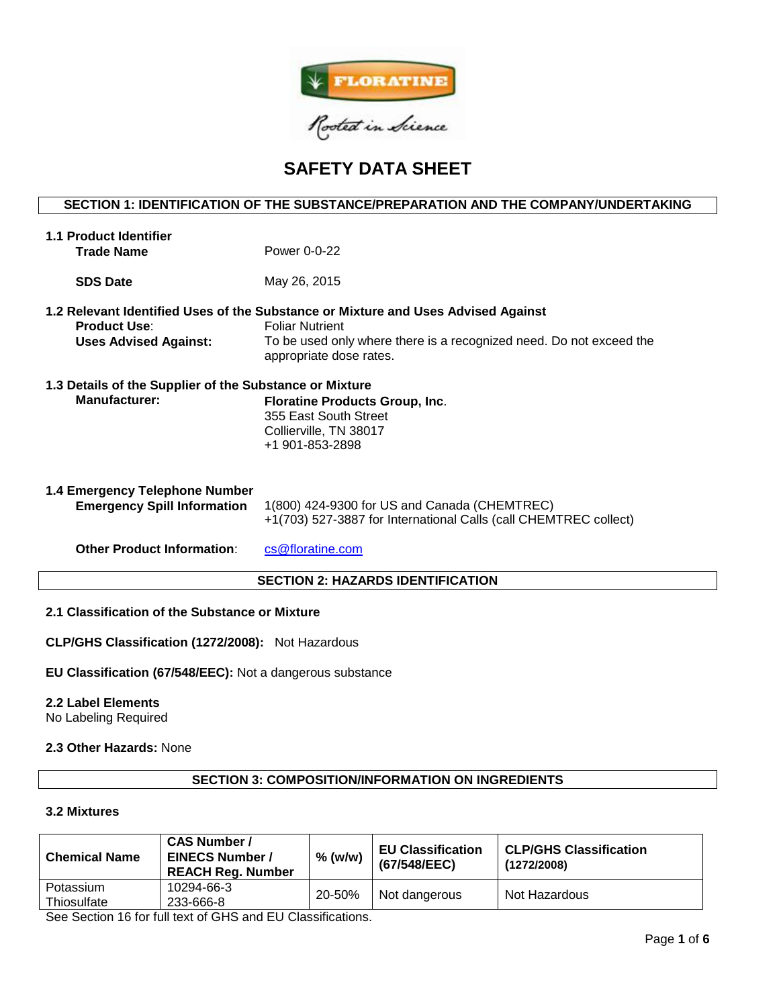

# **SAFETY DATA SHEET**

# **SECTION 1: IDENTIFICATION OF THE SUBSTANCE/PREPARATION AND THE COMPANY/UNDERTAKING**

| <b>1.1 Product Identifier</b><br><b>Trade Name</b>                   | Power 0-0-22                                                                                                                                                                                                  |
|----------------------------------------------------------------------|---------------------------------------------------------------------------------------------------------------------------------------------------------------------------------------------------------------|
| <b>SDS Date</b>                                                      | May 26, 2015                                                                                                                                                                                                  |
| <b>Product Use:</b><br><b>Uses Advised Against:</b>                  | 1.2 Relevant Identified Uses of the Substance or Mixture and Uses Advised Against<br><b>Foliar Nutrient</b><br>To be used only where there is a recognized need. Do not exceed the<br>appropriate dose rates. |
| 1.3 Details of the Supplier of the Substance or Mixture              |                                                                                                                                                                                                               |
| <b>Manufacturer:</b>                                                 | <b>Floratine Products Group, Inc.</b><br>355 East South Street<br>Collierville, TN 38017<br>+1 901-853-2898                                                                                                   |
| 1.4 Emergency Telephone Number<br><b>Emergency Spill Information</b> | 1(800) 424-9300 for US and Canada (CHEMTREC)<br>+1(703) 527-3887 for International Calls (call CHEMTREC collect)                                                                                              |
| <b>Other Product Information:</b>                                    | cs@floratine.com                                                                                                                                                                                              |

# **SECTION 2: HAZARDS IDENTIFICATION**

# **2.1 Classification of the Substance or Mixture**

**CLP/GHS Classification (1272/2008):** Not Hazardous

# **EU Classification (67/548/EEC):** Not a dangerous substance

#### **2.2 Label Elements**

No Labeling Required

# **2.3 Other Hazards:** None

# **SECTION 3: COMPOSITION/INFORMATION ON INGREDIENTS**

## **3.2 Mixtures**

| <b>Chemical Name</b>     | <b>CAS Number /</b><br><b>EINECS Number /</b><br><b>REACH Reg. Number</b> | $%$ (w/w) | <b>EU Classification</b><br>(67/548/EEC) | <b>CLP/GHS Classification</b><br>(1272/2008) |
|--------------------------|---------------------------------------------------------------------------|-----------|------------------------------------------|----------------------------------------------|
| Potassium<br>Thiosulfate | 10294-66-3<br>233-666-8                                                   | 20-50%    | Not dangerous                            | Not Hazardous                                |

See Section 16 for full text of GHS and EU Classifications.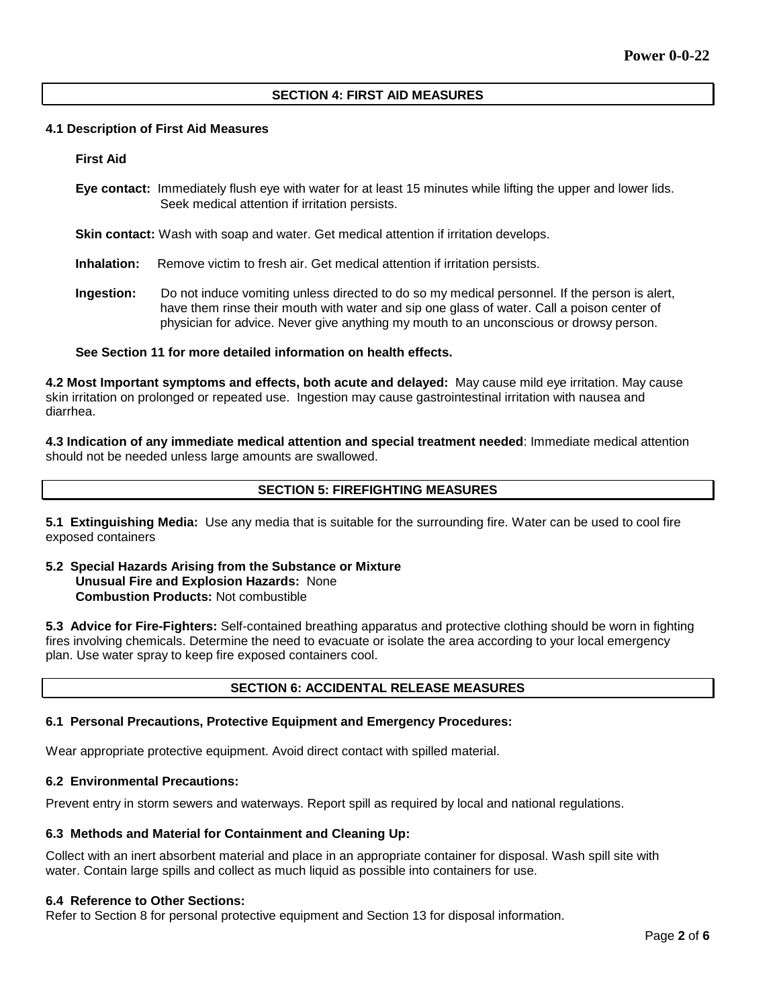## **SECTION 4: FIRST AID MEASURES**

#### **4.1 Description of First Aid Measures**

#### **First Aid**

**Eye contact:** Immediately flush eye with water for at least 15 minutes while lifting the upper and lower lids. Seek medical attention if irritation persists.

**Skin contact:** Wash with soap and water. Get medical attention if irritation develops.

**Inhalation:** Remove victim to fresh air. Get medical attention if irritation persists.

**Ingestion:** Do not induce vomiting unless directed to do so my medical personnel. If the person is alert, have them rinse their mouth with water and sip one glass of water. Call a poison center of physician for advice. Never give anything my mouth to an unconscious or drowsy person.

## **See Section 11 for more detailed information on health effects.**

**4.2 Most Important symptoms and effects, both acute and delayed:** May cause mild eye irritation. May cause skin irritation on prolonged or repeated use. Ingestion may cause gastrointestinal irritation with nausea and diarrhea.

**4.3 Indication of any immediate medical attention and special treatment needed**: Immediate medical attention should not be needed unless large amounts are swallowed.

# **SECTION 5: FIREFIGHTING MEASURES**

**5.1 Extinguishing Media:** Use any media that is suitable for the surrounding fire. Water can be used to cool fire exposed containers

## **5.2 Special Hazards Arising from the Substance or Mixture Unusual Fire and Explosion Hazards:** None **Combustion Products:** Not combustible

**5.3 Advice for Fire-Fighters:** Self-contained breathing apparatus and protective clothing should be worn in fighting fires involving chemicals. Determine the need to evacuate or isolate the area according to your local emergency plan. Use water spray to keep fire exposed containers cool.

# **SECTION 6: ACCIDENTAL RELEASE MEASURES**

#### **6.1 Personal Precautions, Protective Equipment and Emergency Procedures:**

Wear appropriate protective equipment. Avoid direct contact with spilled material.

#### **6.2 Environmental Precautions:**

Prevent entry in storm sewers and waterways. Report spill as required by local and national regulations.

#### **6.3 Methods and Material for Containment and Cleaning Up:**

Collect with an inert absorbent material and place in an appropriate container for disposal. Wash spill site with water. Contain large spills and collect as much liquid as possible into containers for use.

#### **6.4 Reference to Other Sections:**

Refer to Section 8 for personal protective equipment and Section 13 for disposal information.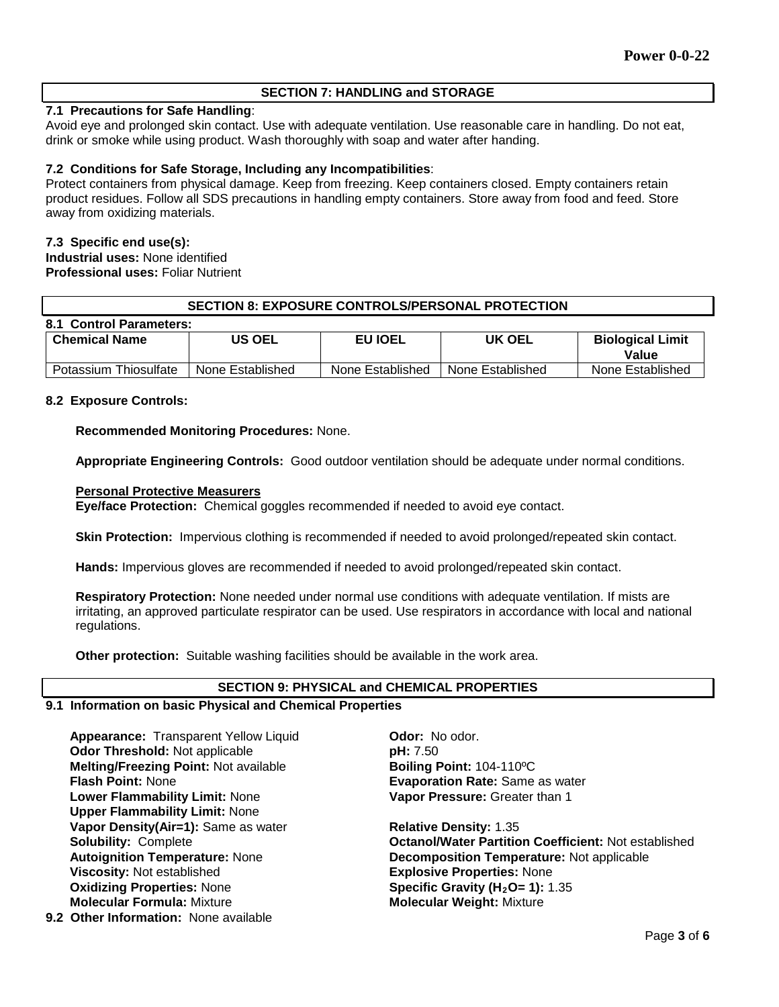# **SECTION 7: HANDLING and STORAGE**

# **7.1 Precautions for Safe Handling**:

Avoid eye and prolonged skin contact. Use with adequate ventilation. Use reasonable care in handling. Do not eat, drink or smoke while using product. Wash thoroughly with soap and water after handing.

## **7.2 Conditions for Safe Storage, Including any Incompatibilities**:

Protect containers from physical damage. Keep from freezing. Keep containers closed. Empty containers retain product residues. Follow all SDS precautions in handling empty containers. Store away from food and feed. Store away from oxidizing materials.

## **7.3 Specific end use(s):**

**Industrial uses:** None identified **Professional uses:** Foliar Nutrient

# **SECTION 8: EXPOSURE CONTROLS/PERSONAL PROTECTION**

| 8.1 Control Parameters:        |                  |                  |                  |                                  |
|--------------------------------|------------------|------------------|------------------|----------------------------------|
| US OEL<br><b>Chemical Name</b> |                  | <b>EU IOEL</b>   | <b>UK OEL</b>    | <b>Biological Limit</b><br>Value |
| Potassium Thiosulfate          | None Established | None Established | None Established | None Established                 |

#### **8.2 Exposure Controls:**

**Recommended Monitoring Procedures:** None.

**Appropriate Engineering Controls:** Good outdoor ventilation should be adequate under normal conditions.

## **Personal Protective Measurers**

**Eye/face Protection:** Chemical goggles recommended if needed to avoid eye contact.

**Skin Protection:** Impervious clothing is recommended if needed to avoid prolonged/repeated skin contact.

**Hands:** Impervious gloves are recommended if needed to avoid prolonged/repeated skin contact.

**Respiratory Protection:** None needed under normal use conditions with adequate ventilation. If mists are irritating, an approved particulate respirator can be used. Use respirators in accordance with local and national regulations.

**Other protection:** Suitable washing facilities should be available in the work area.

#### **SECTION 9: PHYSICAL and CHEMICAL PROPERTIES**

# **9.1 Information on basic Physical and Chemical Properties**

Appearance: Transparent Yellow Liquid **Odor: No odor. Odor Threshold:** Not applicable **by the set of part pH:** 7.50<br> **Melting/Freezing Point:** Not available **by Boiling Point:** 104-110°C **Melting/Freezing Point: Not available Flash Point:** None **Evaporation Rate:** Same as water **Lower Flammability Limit:** None **Upper Flammability Limit:** None **Vapor Density(Air=1):** Same as water **Relative Density:** 1.35 **Viscosity:** Not established **Explosive Properties:** None **Oxidizing Properties: None <b>Specific Gravity (H<sub>2</sub>O= 1):** 1.35 **Molecular Formula:** Mixture **Molecular Weight:** Mixture

**Vapor Pressure:** Greater than 1

**Solubility:** Complete **Octanol/Water Partition Coefficient:** Not established **Autoignition Temperature:** None **Decomposition Temperature:** Not applicable

**9.2 Other Information:** None available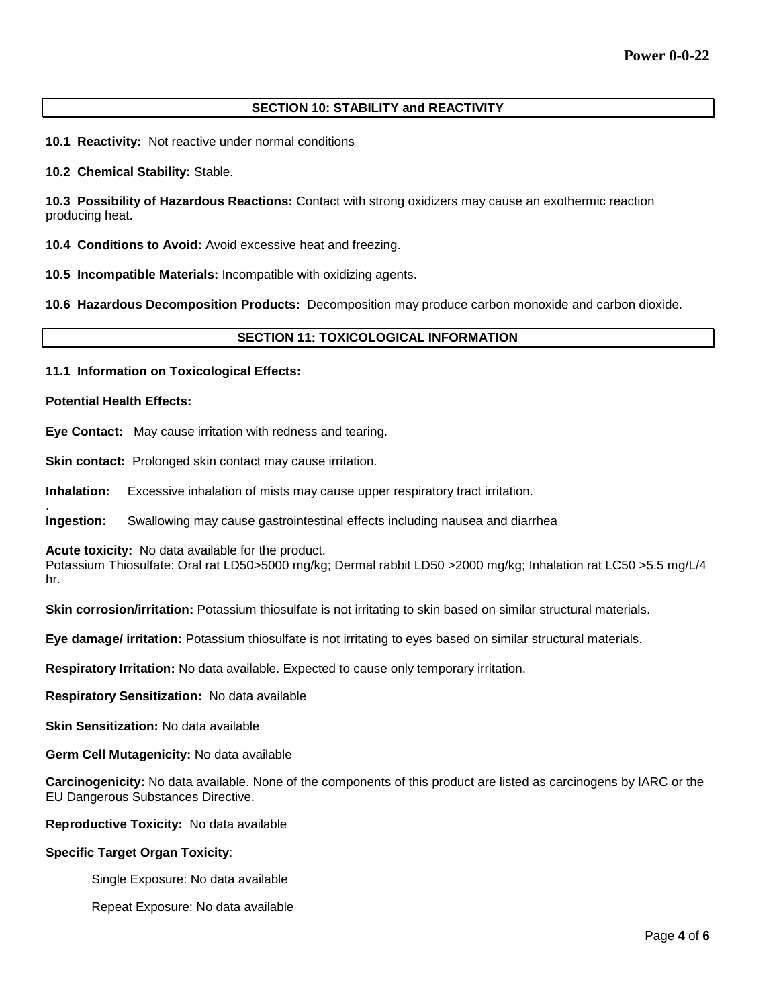# **SECTION 10: STABILITY and REACTIVITY**

**10.1 Reactivity:** Not reactive under normal conditions

**10.2 Chemical Stability:** Stable.

**10.3 Possibility of Hazardous Reactions:** Contact with strong oxidizers may cause an exothermic reaction producing heat.

**10.4 Conditions to Avoid:** Avoid excessive heat and freezing.

**10.5 Incompatible Materials:** Incompatible with oxidizing agents.

**10.6 Hazardous Decomposition Products:** Decomposition may produce carbon monoxide and carbon dioxide.

# **SECTION 11: TOXICOLOGICAL INFORMATION**

**11.1 Information on Toxicological Effects:** 

#### **Potential Health Effects:**

.

**Eye Contact:** May cause irritation with redness and tearing.

**Skin contact:** Prolonged skin contact may cause irritation.

**Inhalation:** Excessive inhalation of mists may cause upper respiratory tract irritation.

**Ingestion:** Swallowing may cause gastrointestinal effects including nausea and diarrhea

**Acute toxicity:** No data available for the product.

Potassium Thiosulfate: Oral rat LD50>5000 mg/kg; Dermal rabbit LD50 >2000 mg/kg; Inhalation rat LC50 >5.5 mg/L/4 hr.

**Skin corrosion/irritation:** Potassium thiosulfate is not irritating to skin based on similar structural materials.

**Eye damage/ irritation:** Potassium thiosulfate is not irritating to eyes based on similar structural materials.

**Respiratory Irritation:** No data available. Expected to cause only temporary irritation.

**Respiratory Sensitization:** No data available

**Skin Sensitization:** No data available

**Germ Cell Mutagenicity:** No data available

**Carcinogenicity:** No data available. None of the components of this product are listed as carcinogens by IARC or the EU Dangerous Substances Directive.

**Reproductive Toxicity:** No data available

## **Specific Target Organ Toxicity**:

Single Exposure: No data available

Repeat Exposure: No data available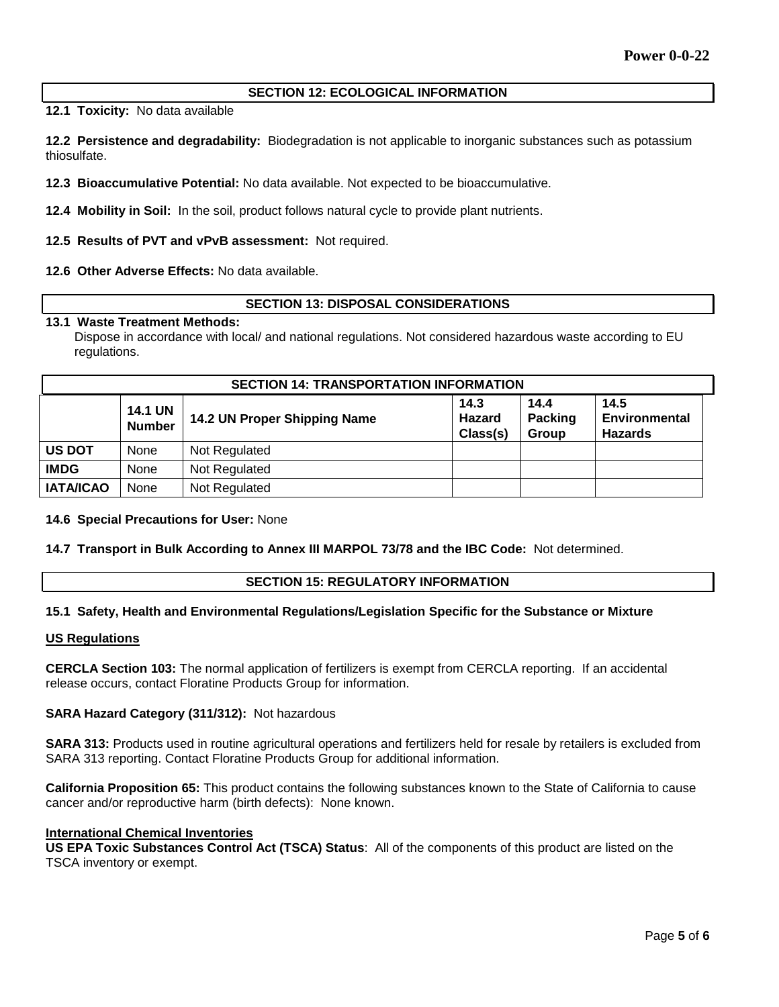## **SECTION 12: ECOLOGICAL INFORMATION**

**12.1 Toxicity:** No data available

**12.2 Persistence and degradability:** Biodegradation is not applicable to inorganic substances such as potassium thiosulfate.

**12.3 Bioaccumulative Potential:** No data available. Not expected to be bioaccumulative.

**12.4 Mobility in Soil:** In the soil, product follows natural cycle to provide plant nutrients.

**12.5 Results of PVT and vPvB assessment:** Not required.

#### **12.6 Other Adverse Effects:** No data available.

## **SECTION 13: DISPOSAL CONSIDERATIONS**

#### **13.1 Waste Treatment Methods:**

Dispose in accordance with local/ and national regulations. Not considered hazardous waste according to EU regulations.

| <b>SECTION 14: TRANSPORTATION INFORMATION</b> |                                 |                              |                                   |                                 |                                         |  |
|-----------------------------------------------|---------------------------------|------------------------------|-----------------------------------|---------------------------------|-----------------------------------------|--|
|                                               | <b>14.1 UN</b><br><b>Number</b> | 14.2 UN Proper Shipping Name | 14.3<br><b>Hazard</b><br>Class(s) | 14.4<br><b>Packing</b><br>Group | 14.5<br>Environmental<br><b>Hazards</b> |  |
| <b>US DOT</b>                                 | None                            | Not Regulated                |                                   |                                 |                                         |  |
| <b>IMDG</b>                                   | None                            | Not Regulated                |                                   |                                 |                                         |  |
| <b>IATA/ICAO</b>                              | None                            | Not Regulated                |                                   |                                 |                                         |  |

#### **14.6 Special Precautions for User:** None

#### **14.7 Transport in Bulk According to Annex III MARPOL 73/78 and the IBC Code:** Not determined.

#### **SECTION 15: REGULATORY INFORMATION**

#### **15.1 Safety, Health and Environmental Regulations/Legislation Specific for the Substance or Mixture**

#### **US Regulations**

**CERCLA Section 103:** The normal application of fertilizers is exempt from CERCLA reporting. If an accidental release occurs, contact Floratine Products Group for information.

#### **SARA Hazard Category (311/312):** Not hazardous

**SARA 313:** Products used in routine agricultural operations and fertilizers held for resale by retailers is excluded from SARA 313 reporting. Contact Floratine Products Group for additional information.

**California Proposition 65:** This product contains the following substances known to the State of California to cause cancer and/or reproductive harm (birth defects): None known.

#### **International Chemical Inventories**

**US EPA Toxic Substances Control Act (TSCA) Status**: All of the components of this product are listed on the TSCA inventory or exempt.